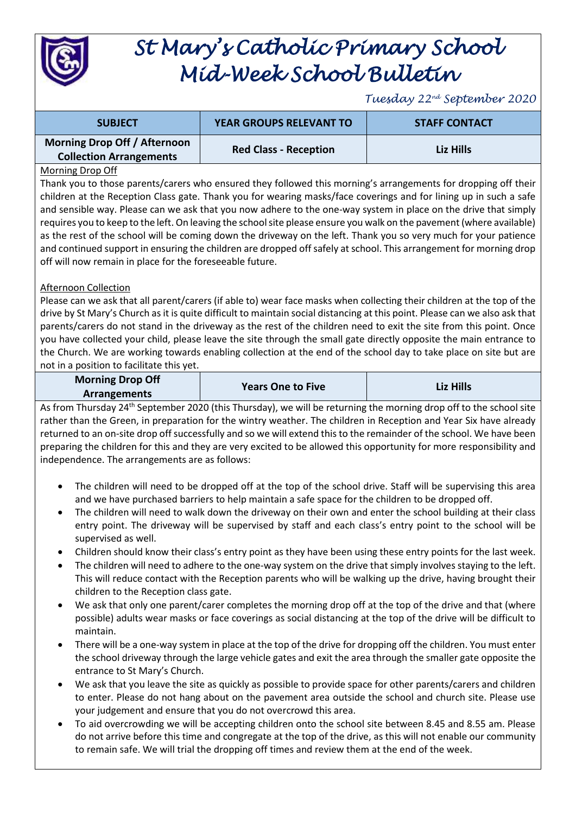

# *St Mary's Catholic Primary School Mid-Week School Bulletin*

*Tuesday 22nd September 2020*

| <b>SUBJECT</b>                                                 | <b>YEAR GROUPS RELEVANT TO</b> | <b>STAFF CONTACT</b> |
|----------------------------------------------------------------|--------------------------------|----------------------|
| Morning Drop Off / Afternoon<br><b>Collection Arrangements</b> | <b>Red Class - Reception</b>   | Liz Hills            |

### Morning Drop Off

Thank you to those parents/carers who ensured they followed this morning's arrangements for dropping off their children at the Reception Class gate. Thank you for wearing masks/face coverings and for lining up in such a safe and sensible way. Please can we ask that you now adhere to the one-way system in place on the drive that simply requires you to keep to the left. On leaving the school site please ensure you walk on the pavement (where available) as the rest of the school will be coming down the driveway on the left. Thank you so very much for your patience and continued support in ensuring the children are dropped off safely at school. This arrangement for morning drop off will now remain in place for the foreseeable future.

## Afternoon Collection

Please can we ask that all parent/carers (if able to) wear face masks when collecting their children at the top of the drive by St Mary's Church as it is quite difficult to maintain social distancing at this point. Please can we also ask that parents/carers do not stand in the driveway as the rest of the children need to exit the site from this point. Once you have collected your child, please leave the site through the small gate directly opposite the main entrance to the Church. We are working towards enabling collection at the end of the school day to take place on site but are not in a position to facilitate this yet.

| <b>Morning Drop Off</b> | <b>Years One to Five</b> | Liz Hills |
|-------------------------|--------------------------|-----------|
| <b>Arrangements</b>     |                          |           |

As from Thursday 24<sup>th</sup> September 2020 (this Thursday), we will be returning the morning drop off to the school site rather than the Green, in preparation for the wintry weather. The children in Reception and Year Six have already returned to an on-site drop off successfully and so we will extend this to the remainder of the school. We have been preparing the children for this and they are very excited to be allowed this opportunity for more responsibility and independence. The arrangements are as follows:

- The children will need to be dropped off at the top of the school drive. Staff will be supervising this area and we have purchased barriers to help maintain a safe space for the children to be dropped off.
- The children will need to walk down the driveway on their own and enter the school building at their class entry point. The driveway will be supervised by staff and each class's entry point to the school will be supervised as well.
- Children should know their class's entry point as they have been using these entry points for the last week.
- The children will need to adhere to the one-way system on the drive that simply involves staying to the left. This will reduce contact with the Reception parents who will be walking up the drive, having brought their children to the Reception class gate.
- We ask that only one parent/carer completes the morning drop off at the top of the drive and that (where possible) adults wear masks or face coverings as social distancing at the top of the drive will be difficult to maintain.
- There will be a one-way system in place at the top of the drive for dropping off the children. You must enter the school driveway through the large vehicle gates and exit the area through the smaller gate opposite the entrance to St Mary's Church.
- We ask that you leave the site as quickly as possible to provide space for other parents/carers and children to enter. Please do not hang about on the pavement area outside the school and church site. Please use your judgement and ensure that you do not overcrowd this area.
- To aid overcrowding we will be accepting children onto the school site between 8.45 and 8.55 am. Please do not arrive before this time and congregate at the top of the drive, as this will not enable our community to remain safe. We will trial the dropping off times and review them at the end of the week.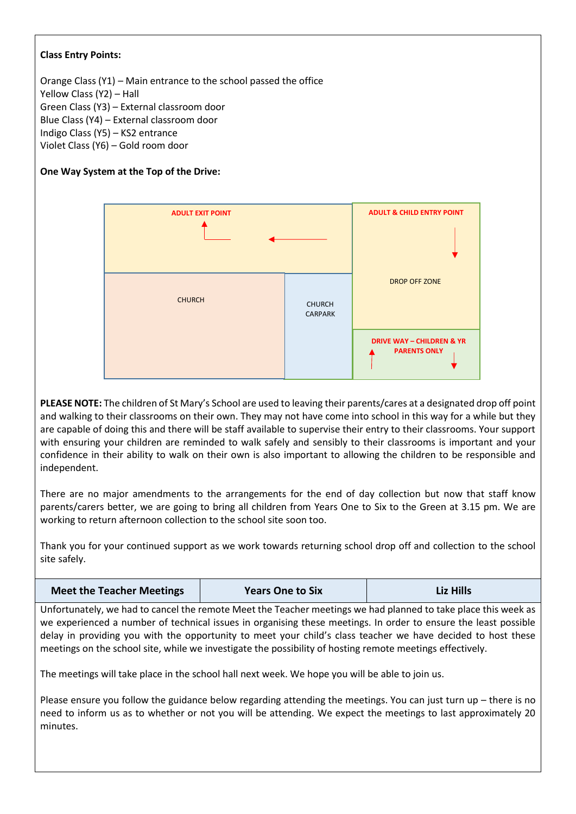## **Class Entry Points:**

Orange Class (Y1) – Main entrance to the school passed the office Yellow Class (Y2) – Hall Green Class (Y3) – External classroom door Blue Class (Y4) – External classroom door Indigo Class (Y5) – KS2 entrance Violet Class (Y6) – Gold room door

# **One Way System at the Top of the Drive:**



**PLEASE NOTE:** The children of St Mary's School are used to leaving their parents/cares at a designated drop off point and walking to their classrooms on their own. They may not have come into school in this way for a while but they are capable of doing this and there will be staff available to supervise their entry to their classrooms. Your support with ensuring your children are reminded to walk safely and sensibly to their classrooms is important and your confidence in their ability to walk on their own is also important to allowing the children to be responsible and independent.

There are no major amendments to the arrangements for the end of day collection but now that staff know parents/carers better, we are going to bring all children from Years One to Six to the Green at 3.15 pm. We are working to return afternoon collection to the school site soon too.

Thank you for your continued support as we work towards returning school drop off and collection to the school site safely.

| <b>Meet the Teacher Meetings</b> | <b>Years One to Six</b> | <b>Liz Hills</b> |
|----------------------------------|-------------------------|------------------|
|----------------------------------|-------------------------|------------------|

Unfortunately, we had to cancel the remote Meet the Teacher meetings we had planned to take place this week as we experienced a number of technical issues in organising these meetings. In order to ensure the least possible delay in providing you with the opportunity to meet your child's class teacher we have decided to host these meetings on the school site, while we investigate the possibility of hosting remote meetings effectively.

The meetings will take place in the school hall next week. We hope you will be able to join us.

Please ensure you follow the guidance below regarding attending the meetings. You can just turn up – there is no need to inform us as to whether or not you will be attending. We expect the meetings to last approximately 20 minutes.